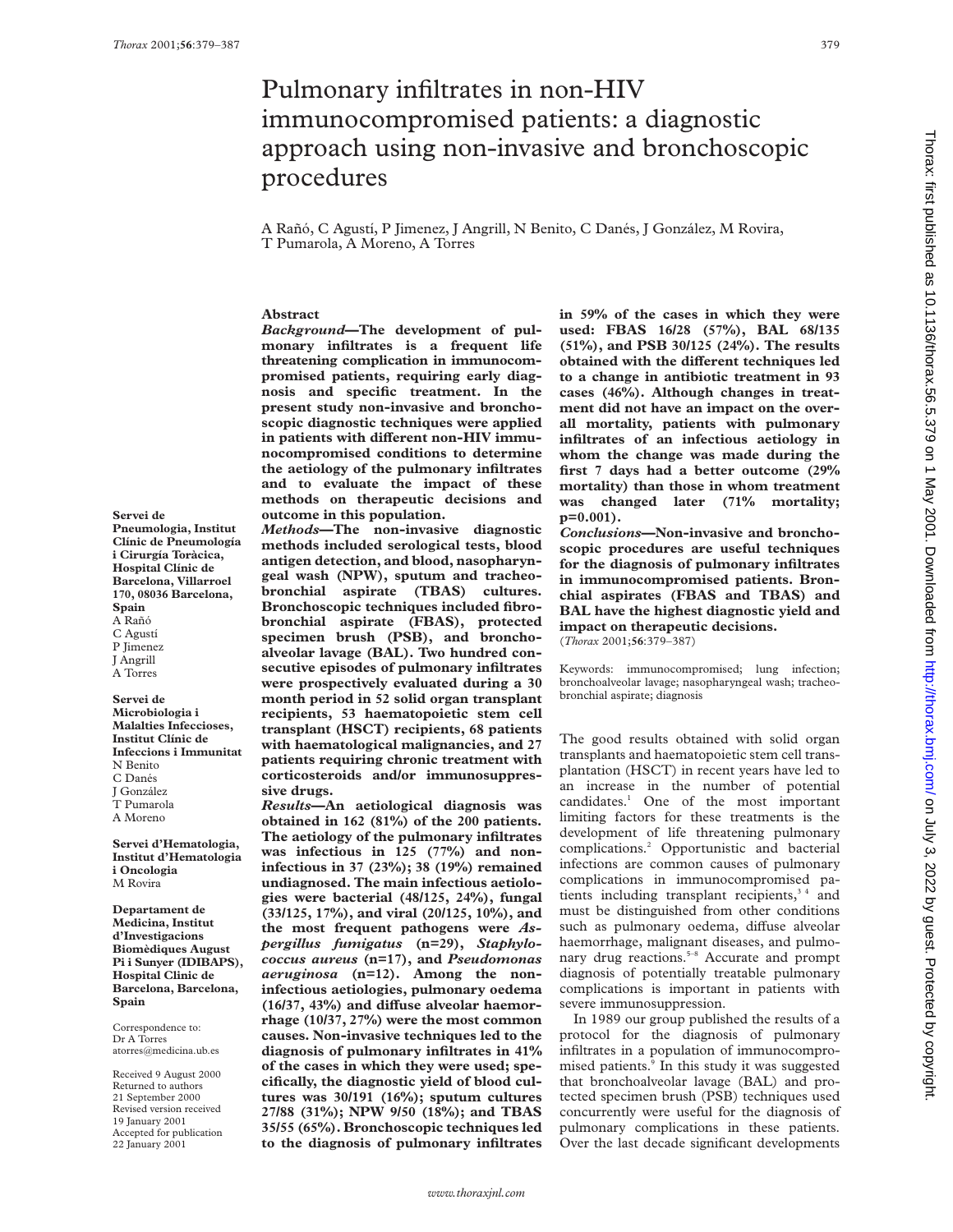# Pulmonary infiltrates in non-HIV immunocompromised patients: a diagnostic approach using non-invasive and bronchoscopic procedures

A Rañó, C Agustí, P Jimenez, J Angrill, N Benito, C Danés, J González, M Rovira, T Pumarola, A Moreno, A Torres

# **Abstract**

*Background***—The development of pulmonary infiltrates is a frequent life threatening complication in immunocompromised patients, requiring early diagnosis and specific treatment. In the present study non-invasive and bronchoscopic diagnostic techniques were applied** in patients with different non-HIV immu**nocompromised conditions to determine the aetiology of the pulmonary infiltrates and to evaluate the impact of these methods on therapeutic decisions and outcome in this population.**

*Methods***—The non-invasive diagnostic methods included serological tests, blood antigen detection, and blood, nasopharyngeal wash (NPW), sputum and tracheobronchial aspirate (TBAS) cultures. Bronchoscopic techniques included fibrobronchial aspirate (FBAS), protected specimen brush (PSB), and bronchoalveolar lavage (BAL). Two hundred consecutive episodes of pulmonary infiltrates were prospectively evaluated during a 30 month period in 52 solid organ transplant recipients, 53 haematopoietic stem cell transplant (HSCT) recipients, 68 patients with haematological malignancies, and 27 patients requiring chronic treatment with corticosteroids and/or immunosuppressive drugs.**

*Results***—An aetiological diagnosis was obtained in 162 (81%) of the 200 patients. The aetiology of the pulmonary infiltrates was infectious in 125 (77%) and noninfectious in 37 (23%); 38 (19%) remained undiagnosed. The main infectious aetiologies were bacterial (48/125, 24%), fungal (33/125, 17%), and viral (20/125, 10%), and the most frequent pathogens were** *Aspergillus fumigatus* **(n=29),** *Staphylococcus aureus* **(n=17), and** *Pseudomonas aeruginosa* **(n=12). Among the noninfectious aetiologies, pulmonary oedema** (16/37, 43%) and diffuse alveolar haemor**rhage (10/37, 27%) were the most common causes. Non-invasive techniques led to the diagnosis of pulmonary infiltrates in 41% of the cases in which they were used; specifically, the diagnostic yield of blood cultures was 30/191 (16%); sputum cultures 27/88 (31%); NPW 9/50 (18%); and TBAS 35/55 (65%). Bronchoscopic techniques led to the diagnosis of pulmonary infiltrates**

**in 59% of the cases in which they were used: FBAS 16/28 (57%), BAL 68/135 (51%), and PSB 30/125 (24%). The results obtained with the different techniques led to a change in antibiotic treatment in 93 cases (46%). Although changes in treatment did not have an impact on the overall mortality, patients with pulmonary infiltrates of an infectious aetiology in whom the change was made during the first 7 days had a better outcome (29% mortality) than those in whom treatment was changed later (71% mortality; p=0.001).**

*Conclusions***—Non-invasive and bronchoscopic procedures are useful techniques for the diagnosis of pulmonary infiltrates in immunocompromised patients. Bronchial aspirates (FBAS and TBAS) and BAL have the highest diagnostic yield and impact on therapeutic decisions.** (*Thorax* 2001;**56**:379–387)

Keywords: immunocompromised; lung infection; bronchoalveolar lavage; nasopharyngeal wash; tracheo-

bronchial aspirate; diagnosis

The good results obtained with solid organ transplants and haematopoietic stem cell transplantation (HSCT) in recent years have led to an increase in the number of potential candidates.1 One of the most important limiting factors for these treatments is the development of life threatening pulmonary complications.2 Opportunistic and bacterial infections are common causes of pulmonary complications in immunocompromised patients including transplant recipients,<sup>34</sup> and must be distinguished from other conditions such as pulmonary oedema, diffuse alveolar haemorrhage, malignant diseases, and pulmonary drug reactions.<sup>5-8</sup> Accurate and prompt diagnosis of potentially treatable pulmonary complications is important in patients with severe immunosuppression.

In 1989 our group published the results of a protocol for the diagnosis of pulmonary infiltrates in a population of immunocompromised patients.<sup>9</sup> In this study it was suggested that bronchoalveolar lavage (BAL) and protected specimen brush (PSB) techniques used concurrently were useful for the diagnosis of pulmonary complications in these patients. Over the last decade significant developments

**Malalties Infeccioses, Institut Clínic de Infeccions i Immunitat** N Benito C Danés J González T Pumarola A Moreno **Servei d'Hematologia,**

**Institut d'Hematologia i Oncologia** M Rovira

**Servei de**

**Spain** A Rañó C Agustí P Jimenez J Angrill A Torres **Servei de Microbiologia i**

**Pneumologia, Institut Clínic de Pneumología i Cirurgía Toràcica, Hospital Clínic de Barcelona, Villarroel 170, 08036 Barcelona,**

**Departament de Medicina, Institut d'Investigacions Biomèdiques August Pi i Sunyer (IDIBAPS), Hospital Clinic de Barcelona, Barcelona, Spain**

Correspondence to: Dr A Torres atorres@medicina.ub.es

Received 9 August 2000 Returned to authors 21 September 2000 Revised version received 19 January 2001 Accepted for publication 22 January 2001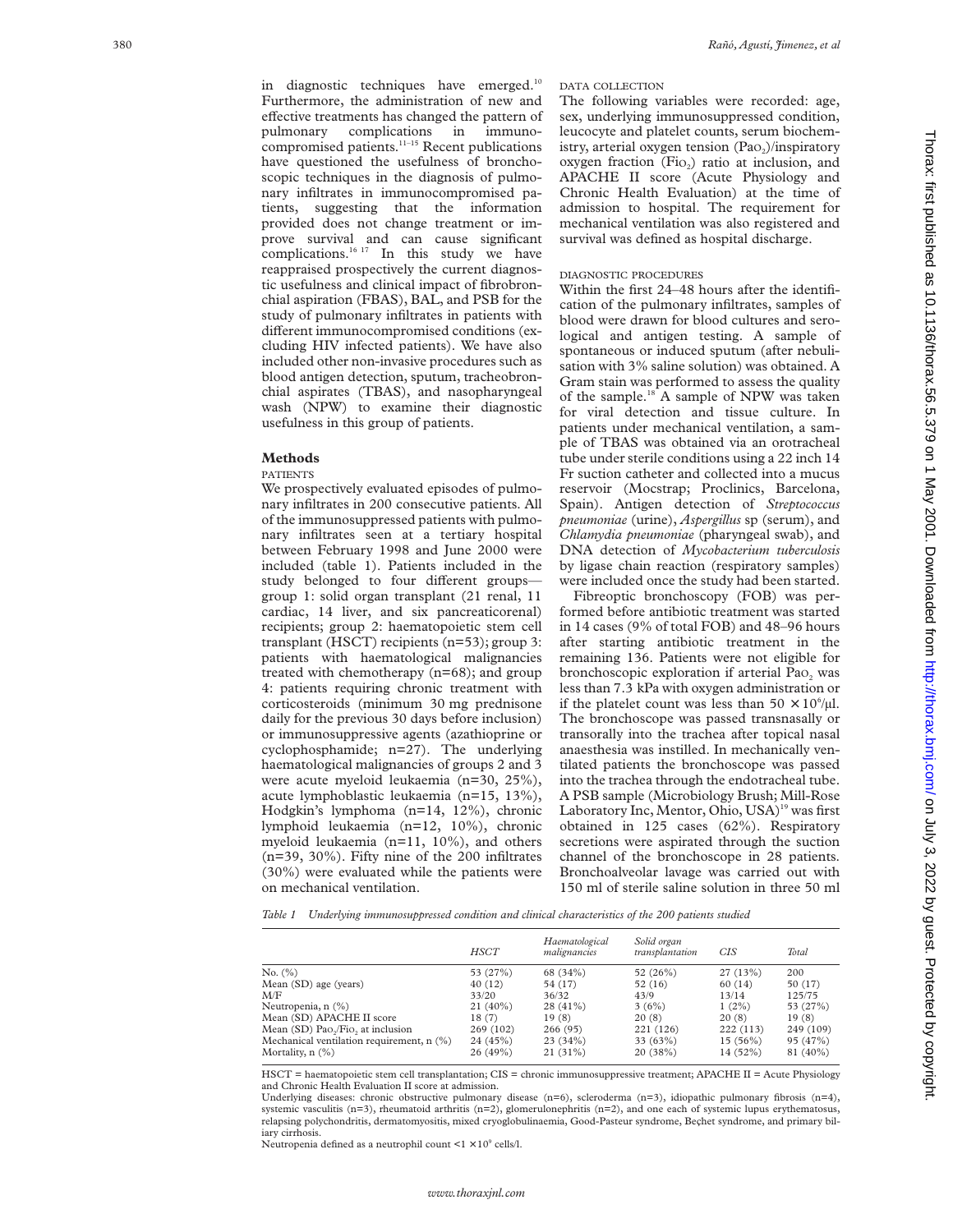in diagnostic techniques have emerged.<sup>10</sup> Furthermore, the administration of new and effective treatments has changed the pattern of pulmonary complications in immunocompromised patients.<sup>11-15</sup> Recent publications have questioned the usefulness of bronchoscopic techniques in the diagnosis of pulmonary infiltrates in immunocompromised patients, suggesting that the information provided does not change treatment or improve survival and can cause significant complications. $16 17$  In this study we have reappraised prospectively the current diagnostic usefulness and clinical impact of fibrobronchial aspiration (FBAS), BAL, and PSB for the study of pulmonary infiltrates in patients with different immunocompromised conditions (excluding HIV infected patients). We have also included other non-invasive procedures such as blood antigen detection, sputum, tracheobronchial aspirates (TBAS), and nasopharyngeal wash (NPW) to examine their diagnostic usefulness in this group of patients.

#### **Methods**

#### PATIENTS

We prospectively evaluated episodes of pulmonary infiltrates in 200 consecutive patients. All of the immunosuppressed patients with pulmonary infiltrates seen at a tertiary hospital between February 1998 and June 2000 were included (table 1). Patients included in the study belonged to four different groupsgroup 1: solid organ transplant (21 renal, 11 cardiac, 14 liver, and six pancreaticorenal) recipients; group 2: haematopoietic stem cell transplant (HSCT) recipients (n=53); group 3: patients with haematological malignancies treated with chemotherapy (n=68); and group 4: patients requiring chronic treatment with corticosteroids (minimum 30 mg prednisone daily for the previous 30 days before inclusion) or immunosuppressive agents (azathioprine or cyclophosphamide; n=27). The underlying haematological malignancies of groups 2 and 3 were acute myeloid leukaemia (n=30, 25%), acute lymphoblastic leukaemia (n=15, 13%), Hodgkin's lymphoma (n=14, 12%), chronic lymphoid leukaemia (n=12, 10%), chronic myeloid leukaemia (n=11, 10%), and others (n=39, 30%). Fifty nine of the 200 infiltrates (30%) were evaluated while the patients were on mechanical ventilation.

### DATA COLLECTION

The following variables were recorded: age, sex, underlying immunosuppressed condition, leucocyte and platelet counts, serum biochemistry, arterial oxygen tension (PaO<sub>2</sub>)/inspiratory oxygen fraction (Fi O 2) ratio at inclusion, and APACHE II score (Acute Physiology and Chronic Health Evaluation) at the time of admission to hospital. The requirement for mechanical ventilation was also registered and survival was defined as hospital discharge.

# DIAGNOSTIC PROCEDURES

Within the first 24–48 hours after the identification of the pulmonary infiltrates, samples of blood were drawn for blood cultures and serological and antigen testing. A sample of spontaneous or induced sputum (after nebulisation with 3% saline solution) was obtained. A Gram stain was performed to assess the quality of the sample.<sup>18</sup> A sample of NPW was taken for viral detection and tissue culture. In patients under mechanical ventilation, a sample of TBAS was obtained via an orotracheal tube under sterile conditions using a 22 inch 14 Fr suction catheter and collected into a mucus reservoir (Mocstrap; Proclinics, Barcelona, Spain). Antigen detection of *Streptococcus pneumoniae* (urine), *Aspergillus* sp (serum), and *Chlamydia pneumoniae* (pharyngeal swab), and DNA detection of *Mycobacterium tuberculosis* by ligase chain reaction (respiratory samples) were included once the study had been started.

Fibreoptic bronchoscopy (FOB) was performed before antibiotic treatment was started in 14 cases (9% of total FOB) and 48–96 hours after starting antibiotic treatment in the remaining 136. Patients were not eligible for bronchoscopic exploration if arterial Pao<sub>2</sub> was less than 7.3 kPa with oxygen administration or if the platelet count was less than  $50 \times 10^6/\mu$ l. The bronchoscope was passed transnasally or transorally into the trachea after topical nasal anaesthesia was instilled. In mechanically ventilated patients the bronchoscope was passed into the trachea through the endotracheal tube. A PSB sample (Microbiology Brush; Mill-Rose Laboratory Inc, Mentor, Ohio, USA)<sup>19</sup> was first obtained in 125 cases (62%). Respiratory secretions were aspirated through the suction channel of the bronchoscope in 28 patients. Bronchoalveolar lavage was carried out with 150 ml of sterile saline solution in three 50 ml

*Table 1 Underlying immunosuppressed condition and clinical characteristics of the 200 patients studied*

|                                                             | HSCT       | Haematological<br>malignancies | Solid organ<br>transplantation | CIS        | Total     |
|-------------------------------------------------------------|------------|--------------------------------|--------------------------------|------------|-----------|
| No. (%)                                                     | 53 (27%)   | 68 (34%)                       | 52 $(26%)$                     | 27(13%)    | 200       |
| Mean (SD) age (years)                                       | 40(12)     | 54 (17)                        | 52(16)                         | 60 (14)    | 50 (17)   |
| M/F                                                         | 33/20      | 36/32                          | 43/9                           | 13/14      | 125/75    |
| Neutropenia, n (%)                                          | $21(40\%)$ | $28(41\%)$                     | 3(6%)                          | $1(2\%)$   | 53 (27%)  |
| Mean (SD) APACHE II score                                   | 18(7)      | 19(8)                          | 20(8)                          | 20(8)      | 19(8)     |
| Mean $(SD)$ Pao <sub>2</sub> /Fio <sub>2</sub> at inclusion | 269 (102)  | 266(95)                        | 221 (126)                      | 222(113)   | 249 (109) |
| Mechanical ventilation requirement, n (%)                   | 24 (45%)   | 23(34%)                        | 33(63%)                        | $15(56\%)$ | 95 (47%)  |
| Mortality, $n$ $(\%)$                                       | 26(49%)    | $21(31\%)$                     | 20(38%)                        | 14 (52%)   | 81 (40%)  |

HSCT = haematopoietic stem cell transplantation; CIS = chronic immunosuppressive treatment; APACHE II = Acute Physiology and Chronic Health Evaluation II score at admission.

Underlying diseases: chronic obstructive pulmonary disease  $(n=6)$ , scleroderma  $(n=3)$ , idiopathic pulmonary fibrosis  $(n=4)$ , systemic vasculitis ( $n=3$ ), rheumatoid arthritis ( $n=2$ ), glomerulonephritis ( $n=2$ ), and one each of systemic lupus erythematosus, relapsing polychondritis, dermatomyositis, mixed cryoglobulinaemia, Good-Pasteur syndrome, Beçhet syndrome, and primary biliary cirrhosis

Neutropenia defined as a neutrophil count  $\leq 1 \times 10^9$  cells/l.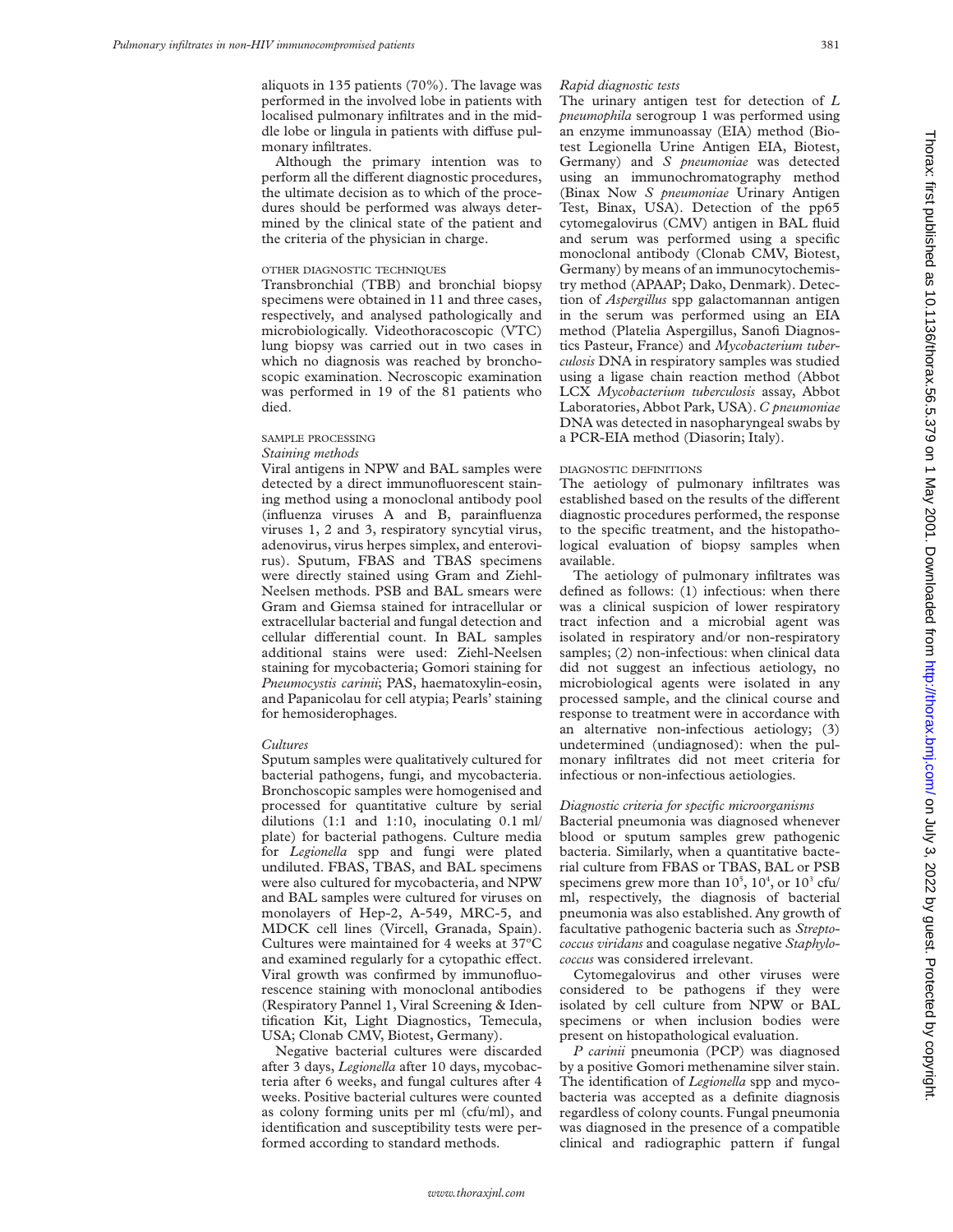aliquots in 135 patients (70%). The lavage was performed in the involved lobe in patients with localised pulmonary infiltrates and in the middle lobe or lingula in patients with diffuse pulmonary infiltrates.

Although the primary intention was to perform all the different diagnostic procedures, the ultimate decision as to which of the procedures should be performed was always determined by the clinical state of the patient and the criteria of the physician in charge.

#### OTHER DIAGNOSTIC TECHNIQUES

Transbronchial (TBB) and bronchial biopsy specimens were obtained in 11 and three cases, respectively, and analysed pathologically and microbiologically. Videothoracoscopic (VTC) lung biopsy was carried out in two cases in which no diagnosis was reached by bronchoscopic examination. Necroscopic examination was performed in 19 of the 81 patients who died.

# SAMPLE PROCESSING

# *Staining methods*

Viral antigens in NPW and BAL samples were detected by a direct immunofluorescent staining method using a monoclonal antibody pool (influenza viruses A and B, parainfluenza viruses 1, 2 and 3, respiratory syncytial virus, adenovirus, virus herpes simplex, and enterovirus). Sputum, FBAS and TBAS specimens were directly stained using Gram and Ziehl-Neelsen methods. PSB and BAL smears were Gram and Giemsa stained for intracellular or extracellular bacterial and fungal detection and cellular differential count. In BAL samples additional stains were used: Ziehl-Neelsen staining for mycobacteria; Gomori staining for *Pneumocystis carinii*; PAS, haematoxylin-eosin, and Papanicolau for cell atypia; Pearls' staining for hemosiderophages.

#### *Cultures*

Sputum samples were qualitatively cultured for bacterial pathogens, fungi, and mycobacteria. Bronchoscopic samples were homogenised and processed for quantitative culture by serial dilutions (1:1 and 1:10, inoculating 0.1 ml/ plate) for bacterial pathogens. Culture media for *Legionella* spp and fungi were plated undiluted. FBAS, TBAS, and BAL specimens were also cultured for mycobacteria, and NPW and BAL samples were cultured for viruses on monolayers of Hep-2, A-549, MRC-5, and MDCK cell lines (Vircell, Granada, Spain). Cultures were maintained for 4 weeks at 37ºC and examined regularly for a cytopathic effect. Viral growth was confirmed by immunofluorescence staining with monoclonal antibodies (Respiratory Pannel 1, Viral Screening & Identification Kit, Light Diagnostics, Temecula, USA; Clonab CMV, Biotest, Germany).

Negative bacterial cultures were discarded after 3 days, *Legionella* after 10 days, mycobacteria after 6 weeks, and fungal cultures after 4 weeks. Positive bacterial cultures were counted as colony forming units per ml (cfu/ml), and identification and susceptibility tests were performed according to standard methods.

#### *Rapid diagnostic tests*

The urinary antigen test for detection of *L pneumophila* serogroup 1 was performed using an enzyme immunoassay (EIA) method (Biotest Legionella Urine Antigen EIA, Biotest, Germany) and *S pneumoniae* was detected using an immunochromatography method (Binax Now *S pneumoniae* Urinary Antigen Test, Binax, USA). Detection of the pp65 cytomegalovirus (CMV) antigen in BAL fluid and serum was performed using a specific monoclonal antibody (Clonab CMV, Biotest, Germany) by means of an immunocytochemistry method (APAAP; Dako, Denmark). Detection of *Aspergillus* spp galactomannan antigen in the serum was performed using an EIA method (Platelia Aspergillus, Sanofi Diagnostics Pasteur, France) and *Mycobacterium tuberculosis* DNA in respiratory samples was studied using a ligase chain reaction method (Abbot LCX *Mycobacterium tuberculosis* assay, Abbot Laboratories, Abbot Park, USA). *C pneumoniae* DNA was detected in nasopharyngeal swabs by a PCR-EIA method (Diasorin; Italy).

#### DIAGNOSTIC DEFINITIONS

The aetiology of pulmonary infiltrates was established based on the results of the different diagnostic procedures performed, the response to the specific treatment, and the histopathological evaluation of biopsy samples when available.

The aetiology of pulmonary infiltrates was defined as follows: (1) infectious: when there was a clinical suspicion of lower respiratory tract infection and a microbial agent was isolated in respiratory and/or non-respiratory samples; (2) non-infectious: when clinical data did not suggest an infectious aetiology, no microbiological agents were isolated in any processed sample, and the clinical course and response to treatment were in accordance with an alternative non-infectious aetiology; (3) undetermined (undiagnosed): when the pulmonary infiltrates did not meet criteria for infectious or non-infectious aetiologies.

#### *Diagnostic criteria for specific microorganisms*

Bacterial pneumonia was diagnosed whenever blood or sputum samples grew pathogenic bacteria. Similarly, when a quantitative bacterial culture from FBAS or TBAS, BAL or PSB specimens grew more than  $10^5$ ,  $10^4$ , or  $10^3$  cfu/ ml, respectively, the diagnosis of bacterial pneumonia was also established. Any growth of facultative pathogenic bacteria such as *Streptococcus viridans* and coagulase negative *Staphylococcus* was considered irrelevant.

Cytomegalovirus and other viruses were considered to be pathogens if they were isolated by cell culture from NPW or BAL specimens or when inclusion bodies were present on histopathological evaluation.

*P carinii* pneumonia (PCP) was diagnosed by a positive Gomori methenamine silver stain. The identification of *Legionella* spp and mycobacteria was accepted as a definite diagnosis regardless of colony counts. Fungal pneumonia was diagnosed in the presence of a compatible clinical and radiographic pattern if fungal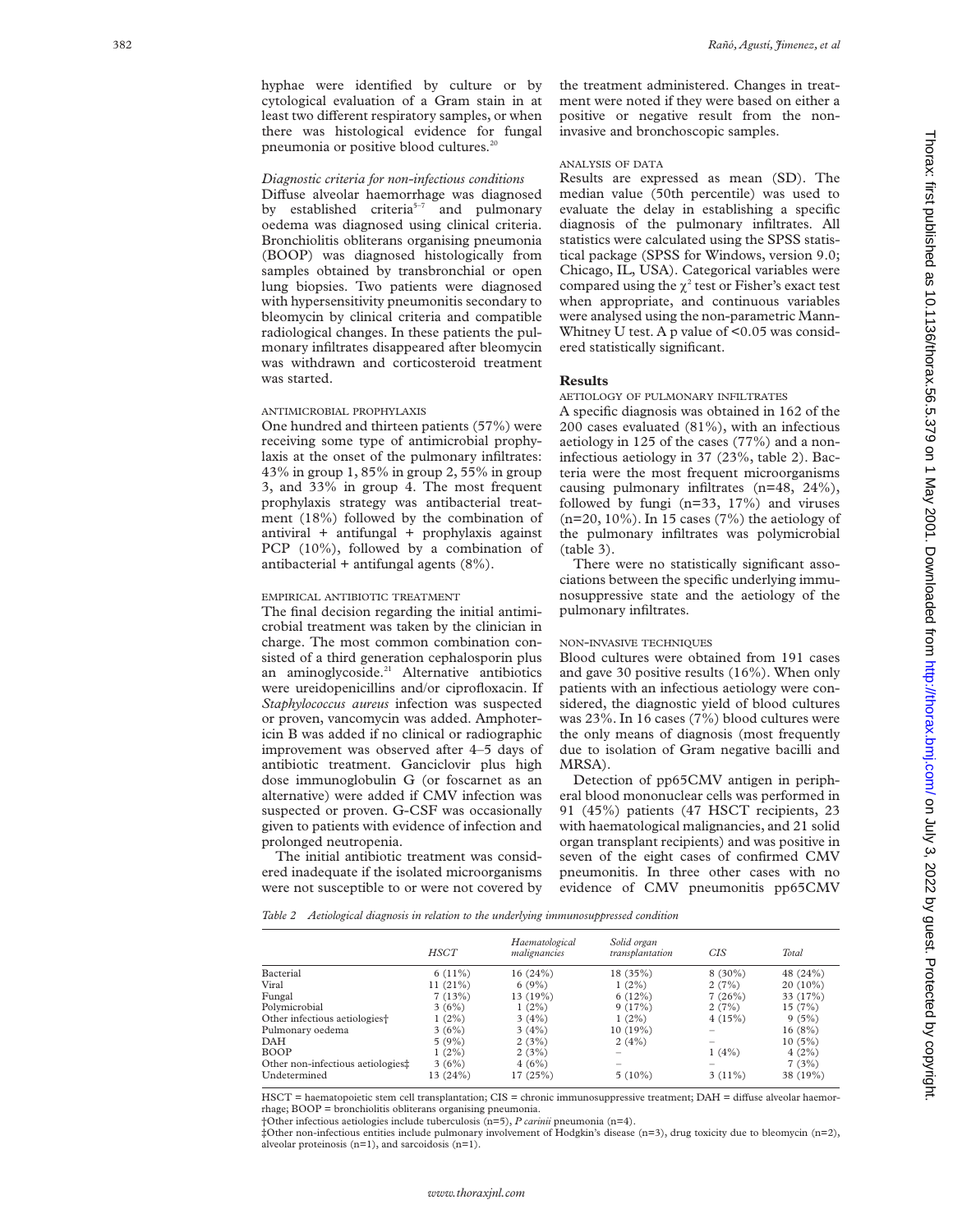hyphae were identified by culture or by cytological evaluation of a Gram stain in at least two different respiratory samples, or when there was histological evidence for fungal pneumonia or positive blood cultures.<sup>2</sup>

#### *Diagnostic criteria for non-infectious conditions*

Diffuse alveolar haemorrhage was diagnosed by established criteria<sup>5-7</sup> and pulmonary oedema was diagnosed using clinical criteria. Bronchiolitis obliterans organising pneumonia (BOOP) was diagnosed histologically from samples obtained by transbronchial or open lung biopsies. Two patients were diagnosed with hypersensitivity pneumonitis secondary to bleomycin by clinical criteria and compatible radiological changes. In these patients the pulmonary infiltrates disappeared after bleomycin was withdrawn and corticosteroid treatment was started.

# ANTIMICROBIAL PROPHYLAXIS

One hundred and thirteen patients (57%) were receiving some type of antimicrobial prophylaxis at the onset of the pulmonary infiltrates: 43% in group 1, 85% in group 2, 55% in group 3, and 33% in group 4. The most frequent prophylaxis strategy was antibacterial treatment (18%) followed by the combination of antiviral + antifungal + prophylaxis against PCP (10%), followed by a combination of antibacterial + antifungal agents (8%).

#### EMPIRICAL ANTIBIOTIC TREATMENT

The final decision regarding the initial antimicrobial treatment was taken by the clinician in charge. The most common combination consisted of a third generation cephalosporin plus an aminoglycoside.<sup>21</sup> Alternative antibiotics were ureidopenicillins and/or ciprofloxacin. If *Staphylococcus aureus* infection was suspected or proven, vancomycin was added. Amphotericin B was added if no clinical or radiographic improvement was observed after 4–5 days of antibiotic treatment. Ganciclovir plus high dose immunoglobulin G (or foscarnet as an alternative) were added if CMV infection was suspected or proven. G-CSF was occasionally given to patients with evidence of infection and prolonged neutropenia.

The initial antibiotic treatment was considered inadequate if the isolated microorganisms were not susceptible to or were not covered by the treatment administered. Changes in treatment were noted if they were based on either a positive or negative result from the noninvasive and bronchoscopic samples.

#### ANALYSIS OF DATA

Results are expressed as mean (SD). The median value (50th percentile) was used to evaluate the delay in establishing a specific diagnosis of the pulmonary infiltrates. All statistics were calculated using the SPSS statistical package (SPSS for Windows, version 9.0; Chicago, IL, USA). Categorical variables were compared using the  $\chi^2$  test or Fisher's exact test when appropriate, and continuous variables were analysed using the non-parametric Mann-Whitney U test. A p value of <0.05 was considered statistically significant.

#### **Results**

AETIOLOGY OF PULMONARY INFILTRATES

A specific diagnosis was obtained in 162 of the 200 cases evaluated (81%), with an infectious aetiology in 125 of the cases (77%) and a noninfectious aetiology in 37 (23%, table 2). Bacteria were the most frequent microorganisms causing pulmonary infiltrates (n=48, 24%), followed by fungi (n=33, 17%) and viruses (n=20, 10%). In 15 cases (7%) the aetiology of the pulmonary infiltrates was polymicrobial (table 3).

There were no statistically significant associations between the specific underlying immunosuppressive state and the aetiology of the pulmonary infiltrates.

#### NON -INVASIVE TECHNIQUES

Blood cultures were obtained from 191 cases and gave 30 positive results (16%). When only patients with an infectious aetiology were considered, the diagnostic yield of blood cultures was 23%. In 16 cases (7%) blood cultures were the only means of diagnosis (most frequently due to isolation of Gram negative bacilli and MRSA).

Detection of pp65CMV antigen in peripheral blood mononuclear cells was performed in 91 (45%) patients (47 HSCT recipients, 23 with haematological malignancies, and 21 solid organ transplant recipients) and was positive in seven of the eight cases of confirmed CMV pneumonitis. In three other cases with no evidence of CMV pneumonitis pp65CMV

*Table 2 Aetiological diagnosis in relation to the underlying immunosuppressed condition*

|                                           | <b>HSCT</b> | Haematological<br>malignancies | Solid organ<br>transplantation | <b>CIS</b> | Total    |
|-------------------------------------------|-------------|--------------------------------|--------------------------------|------------|----------|
| Bacterial                                 | $6(11\%)$   | 16(24%)                        | 18 (35%)                       | $8(30\%)$  | 48 (24%) |
| Viral                                     | 11(21%)     | 6(9%)                          | $1(2\%)$                       | 2(7%)      | 20 (10%) |
| Fungal                                    | 7(13%)      | 13 (19%)                       | 6(12%)                         | 7(26%)     | 33 (17%) |
| Polymicrobial                             | 3(6%)       | $1(2\%)$                       | 9(17%)                         | 2(7%)      | 15(7%)   |
| Other infectious aetiologies <sup>+</sup> | 1(2%)       | 3(4%)                          | $1(2\%)$                       | 4(15%)     | 9(5%)    |
| Pulmonary oedema                          | 3(6%)       | 3(4%)                          | 10(19%)                        |            | 16(8%)   |
| DAH                                       | 5(9%)       | 2(3%)                          | 2(4%)                          |            | 10(5%)   |
| <b>BOOP</b>                               | $1(2\%)$    | 2(3%)                          |                                | 1(4%)      | 4(2%)    |
| Other non-infectious aetiologies‡         | 3(6%)       | 4(6%)                          |                                | -          | 7(3%)    |
| Undetermined                              | 13 (24%)    | 17 (25%)                       | $5(10\%)$                      | 3(11%)     | 38 (19%) |

HSCT = haematopoietic stem cell transplantation; CIS = chronic immunosuppressive treatment; DAH = diffuse alveolar haemorrhage; BOOP = bronchiolitis obliterans organising pneumonia.

†Other infectious aetiologies include tuberculosis (n=5), *P carinii* pneumonia (n=4).

‡Other non-infectious entities include pulmonary involvement of Hodgkin's disease (n=3), drug toxicity due to bleomycin (n=2), alveolar proteinosis (n=1), and sarcoidosis (n=1).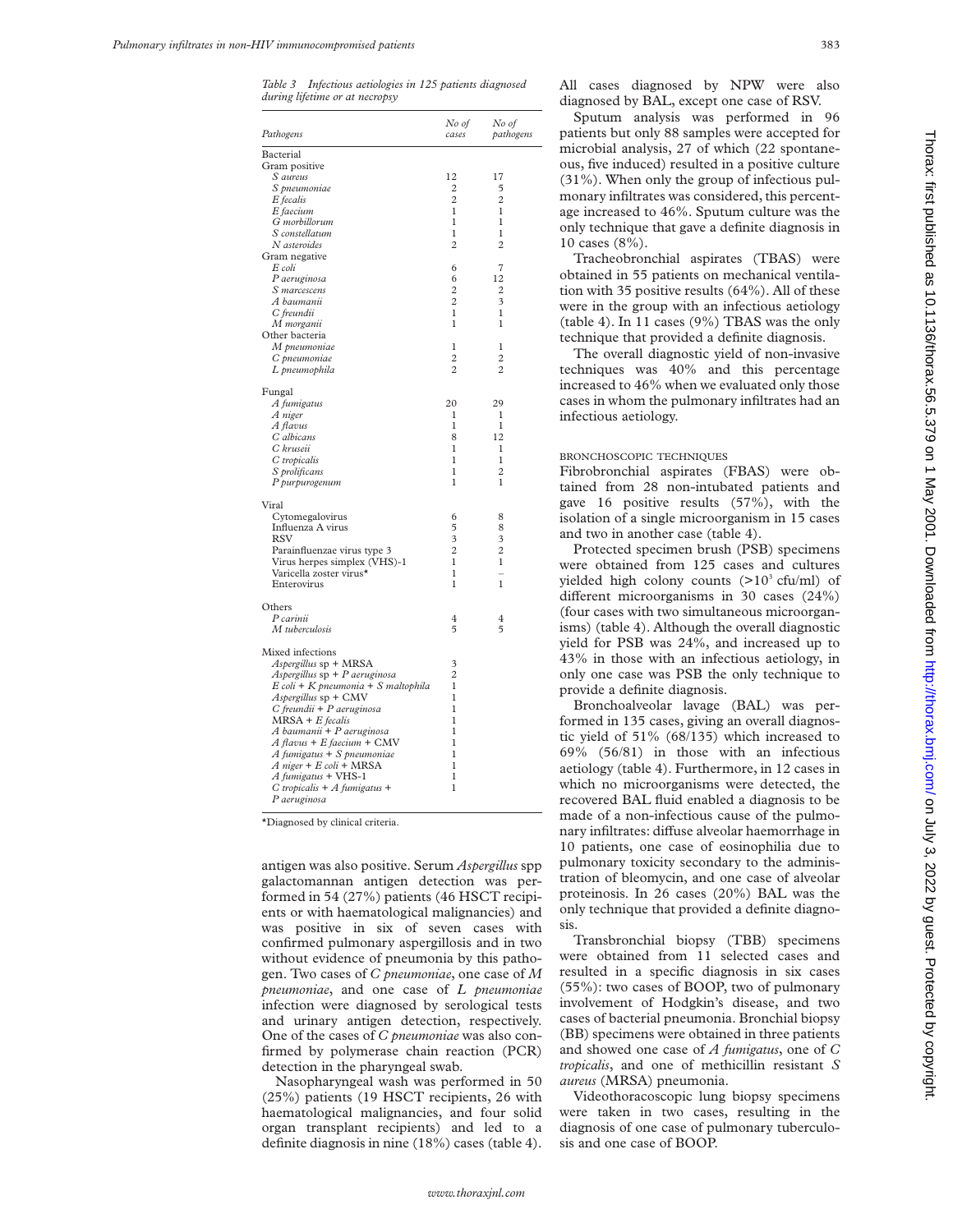*Table 3 Infectious aetiologies in 125 patients diagnosed during lifetime or at necropsy*

| Pathogens                           | No of<br>cases | No of<br>pathogens |
|-------------------------------------|----------------|--------------------|
| Bacterial                           |                |                    |
| Gram positive                       |                |                    |
| S aureus                            | 12             | 17                 |
| S pneumoniae                        | 2              | 5                  |
| E fecalis                           | $\overline{c}$ | $\overline{2}$     |
| E faecium                           | 1              | 1                  |
| G morbillorum                       | $\mathbf{1}$   | 1                  |
| S constellatum                      | 1              | 1                  |
| N asteroides                        | $\overline{c}$ | $\overline{c}$     |
| Gram negative<br>E coli             | 6              | 7                  |
| P aeruginosa                        | 6              | 12                 |
| S marcescens                        | $\overline{2}$ | 2                  |
| A baumanii                          | 2              | 3                  |
| C freundii                          | 1              | 1                  |
| M morganii                          | $\mathbf{1}$   | 1                  |
| Other bacteria                      |                |                    |
| M pneumoniae                        | 1              | 1                  |
| C pneumoniae                        | $\overline{2}$ | $\overline{2}$     |
| L pneumophila                       | $\overline{2}$ | $\overline{c}$     |
| Fungal                              |                |                    |
| A fumigatus                         | 20             | 29                 |
| A niger                             | 1              | 1                  |
| A flavus                            | 1              | 1                  |
| C albicans                          | 8              | 12                 |
| C kruseii                           | 1              | 1                  |
| C tropicalis                        | 1              | 1                  |
| S prolificans                       | 1              | $\overline{c}$     |
| P purpurogenum                      | 1              | 1                  |
| Viral                               |                |                    |
| Cytomegalovirus                     | 6              | 8                  |
| Influenza A virus                   | 5              | 8                  |
| RSV                                 | 3              | 3                  |
| Parainfluenzae virus type 3         | $\overline{2}$ | $\overline{2}$     |
| Virus herpes simplex (VHS)-1        | 1              | 1                  |
| Varicella zoster virus*             | 1              | ÷                  |
| Enterovirus                         | 1              | 1                  |
| Others                              |                |                    |
| P carinii                           | 4              | 4                  |
| M tuberculosis                      | 5              | 5                  |
| Mixed infections                    |                |                    |
| Aspergillus sp + MRSA               | 3              |                    |
| Aspergillus sp + P aeruginosa       | 2              |                    |
| E coli + K pneumonia + S maltophila | 1              |                    |
| Aspergillus sp + CMV                | 1              |                    |
| $C$ freundii + P aeruginosa         | 1              |                    |
| $MRSA + E$ fecalis                  | 1              |                    |
| A baumanii + P aeruginosa           | 1              |                    |
| A flavus + E faecium + CMV          | $\mathbf{1}$   |                    |
| A fumigatus + S pneumoniae          | 1              |                    |
| A niger + E coli + MRSA             | 1              |                    |
| A fumigatus + VHS-1                 | 1              |                    |
| $C$ tropicalis + $A$ fumigatus +    | $\mathbf{1}$   |                    |
| P aeruginosa                        |                |                    |

\*Diagnosed by clinical criteria.

antigen was also positive. Serum *Aspergillus* spp galactomannan antigen detection was performed in 54 (27%) patients (46 HSCT recipients or with haematological malignancies) and was positive in six of seven cases with confirmed pulmonary aspergillosis and in two without evidence of pneumonia by this pathogen. Two cases of *C pneumoniae*, one case of *M pneumoniae*, and one case of *L pneumoniae* infection were diagnosed by serological tests and urinary antigen detection, respectively. One of the cases of *C pneumoniae* was also confirmed by polymerase chain reaction (PCR) detection in the pharyngeal swab.

Nasopharyngeal wash was performed in 50 (25%) patients (19 HSCT recipients, 26 with haematological malignancies, and four solid organ transplant recipients) and led to a definite diagnosis in nine (18%) cases (table 4).

All cases diagnosed by NPW were also diagnosed by BAL, except one case of RSV.

Sputum analysis was performed in 96 patients but only 88 samples were accepted for microbial analysis, 27 of which (22 spontaneous, five induced) resulted in a positive culture (31%). When only the group of infectious pulmonary infiltrates was considered, this percentage increased to 46%. Sputum culture was the only technique that gave a definite diagnosis in 10 cases (8%).

Tracheobronchial aspirates (TBAS) were obtained in 55 patients on mechanical ventilation with 35 positive results (64%). All of these were in the group with an infectious aetiology (table 4). In 11 cases (9%) TBAS was the only technique that provided a definite diagnosis.

The overall diagnostic yield of non-invasive techniques was 40% and this percentage increased to 46% when we evaluated only those cases in whom the pulmonary infiltrates had an infectious aetiology.

#### BRONCHOSCOPIC TECHNIQUES

Fibrobronchial aspirates (FBAS) were obtained from 28 non-intubated patients and gave 16 positive results (57%), with the isolation of a single microorganism in 15 cases and two in another case (table 4).

Protected specimen brush (PSB) specimens were obtained from 125 cases and cultures yielded high colony counts  $(>10^3 \text{ cftu/ml})$  of different microorganisms in 30 cases  $(24%)$ (four cases with two simultaneous microorganisms) (table 4). Although the overall diagnostic yield for PSB was 24%, and increased up to 43% in those with an infectious aetiology, in only one case was PSB the only technique to provide a definite diagnosis.

Bronchoalveolar lavage (BAL) was performed in 135 cases, giving an overall diagnostic yield of 51% (68/135) which increased to 69% (56/81) in those with an infectious aetiology (table 4). Furthermore, in 12 cases in which no microorganisms were detected, the recovered BAL fluid enabled a diagnosis to be made of a non-infectious cause of the pulmonary infiltrates: diffuse alveolar haemorrhage in 10 patients, one case of eosinophilia due to pulmonary toxicity secondary to the administration of bleomycin, and one case of alveolar proteinosis. In 26 cases (20%) BAL was the only technique that provided a definite diagnosis.

Transbronchial biopsy (TBB) specimens were obtained from 11 selected cases and resulted in a specific diagnosis in six cases (55%): two cases of BOOP, two of pulmonary involvement of Hodgkin's disease, and two cases of bacterial pneumonia. Bronchial biopsy (BB) specimens were obtained in three patients and showed one case of *A fumigatus*, one of *C tropicalis*, and one of methicillin resistant *S aureus* (MRSA) pneumonia.

Videothoracoscopic lung biopsy specimens were taken in two cases, resulting in the diagnosis of one case of pulmonary tuberculosis and one case of BOOP.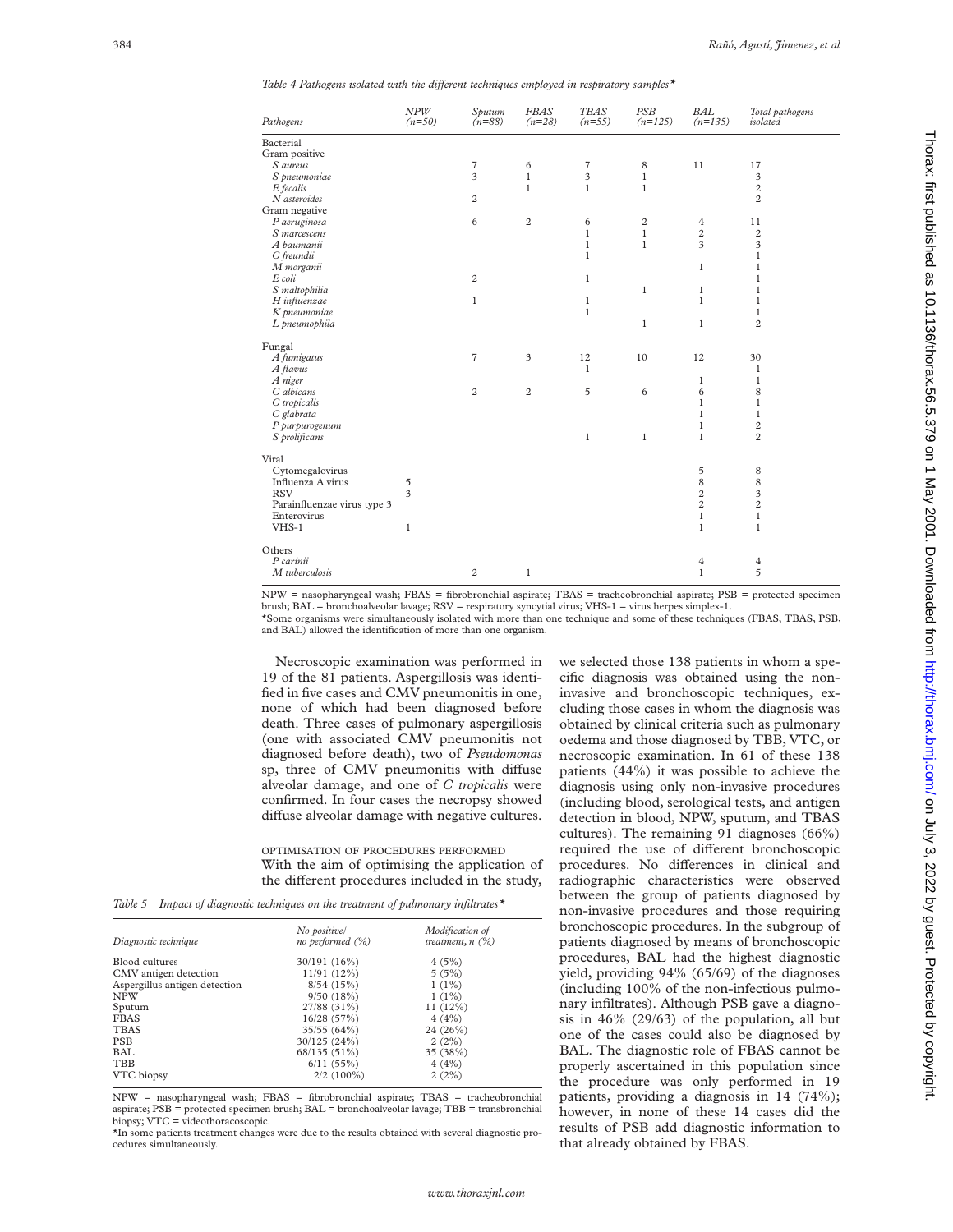| Table 4 Pathogens isolated with the different techniques employed in respiratory samples* |  |  |  |  |  |  |  |
|-------------------------------------------------------------------------------------------|--|--|--|--|--|--|--|
|-------------------------------------------------------------------------------------------|--|--|--|--|--|--|--|

| Pathogens                   | NPW<br>$(n=50)$ | Sputum<br>$(n=88)$      | <b>FBAS</b><br>$(n=28)$ | <b>TBAS</b><br>$(n=55)$ | <b>PSB</b><br>$(n=125)$ | <b>BAL</b><br>$(n=135)$ | Total pathogens<br>isolated |
|-----------------------------|-----------------|-------------------------|-------------------------|-------------------------|-------------------------|-------------------------|-----------------------------|
| Bacterial                   |                 |                         |                         |                         |                         |                         |                             |
| Gram positive               |                 |                         |                         |                         |                         |                         |                             |
| S aureus                    |                 | $\scriptstyle\rm 7$     | 6                       | $\scriptstyle\rm 7$     | $\,$ 8 $\,$             | 11                      | 17                          |
| S pneumoniae                |                 | $\overline{\mathbf{3}}$ | $\mathbf{1}$            | 3                       | $\mathbf{1}$            |                         | 3                           |
| E fecalis                   |                 |                         | $\mathbf{1}$            | $\mathbf{1}$            | $\mathbf{1}$            |                         | $\overline{c}$              |
| N asteroides                |                 | $\sqrt{2}$              |                         |                         |                         |                         | $\overline{c}$              |
| Gram negative               |                 |                         |                         |                         |                         |                         |                             |
| P aeruginosa                |                 | 6                       | $\overline{2}$          | 6                       | $\overline{c}$          | $\overline{4}$          | 11                          |
| S marcescens                |                 |                         |                         | $\mathbf{1}$            | $\mathbf{1}$            | $\overline{c}$          | $\overline{c}$              |
| A baumanii                  |                 |                         |                         | $\mathbf{1}$            | $\mathbf{1}$            | $\overline{\mathbf{3}}$ | 3                           |
| C freundii                  |                 |                         |                         | $\mathbf{1}$            |                         |                         | $\mathbf 1$                 |
| M morganii                  |                 |                         |                         |                         |                         | $\mathbf{1}$            | $\mathbf{1}$                |
| E coli                      |                 | $\sqrt{2}$              |                         | $\mathbf{1}$            |                         |                         | $\mathbf{1}$                |
| S maltophilia               |                 |                         |                         |                         | $\mathbf{1}$            | $\mathbf{1}$            | $\mathbf{1}$                |
| H influenzae                |                 | $\mathbf{1}$            |                         | $\mathbf{1}$            |                         | $\mathbf{1}$            | $\mathbf{1}$                |
| K pneumoniae                |                 |                         |                         | $\,1$                   |                         |                         | $\mathbf 1$                 |
| L pneumophila               |                 |                         |                         |                         | $\mathbf{1}$            | $\mathbf{1}$            | $\overline{c}$              |
|                             |                 |                         |                         |                         |                         |                         |                             |
| Fungal                      |                 |                         |                         |                         |                         |                         |                             |
| A fumigatus                 |                 | $\overline{7}$          | 3                       | 12                      | 10                      | 12                      | 30                          |
| A flavus                    |                 |                         |                         | $\mathbf{1}$            |                         |                         | $\mathbf{1}$                |
| A niger                     |                 |                         |                         |                         |                         | $\mathbf{1}$            | $\mathbf{1}$                |
| C albicans                  |                 | $\sqrt{2}$              | $\overline{c}$          | 5                       | 6                       | 6                       | 8                           |
| C tropicalis                |                 |                         |                         |                         |                         | $\mathbf{1}$            | $\mathbf{1}$                |
| C glabrata                  |                 |                         |                         |                         |                         | $\mathbf{1}$            | $\mathbf{1}$                |
| P purpurogenum              |                 |                         |                         |                         |                         | $\mathbf{1}$            | $\overline{\mathbf{c}}$     |
| S prolificans               |                 |                         |                         | $\mathbf{1}$            | $\mathbf{1}$            | $\mathbf{1}$            | $\overline{c}$              |
|                             |                 |                         |                         |                         |                         |                         |                             |
| Viral                       |                 |                         |                         |                         |                         |                         |                             |
| Cytomegalovirus             |                 |                         |                         |                         |                         | 5                       | 8                           |
| Influenza A virus           | 5               |                         |                         |                         |                         | 8                       | 8                           |
| <b>RSV</b>                  | 3               |                         |                         |                         |                         | $\overline{\mathbf{c}}$ | 3                           |
| Parainfluenzae virus type 3 |                 |                         |                         |                         |                         | $\overline{c}$          | $\overline{c}$              |
| Enterovirus                 |                 |                         |                         |                         |                         | $\mathbf 1$             | $\,1$                       |
| $VHS-1$                     | $\mathbf{1}$    |                         |                         |                         |                         | $\mathbf{1}$            | $\mathbf{1}$                |
| Others                      |                 |                         |                         |                         |                         |                         |                             |
| P carinii                   |                 |                         |                         |                         |                         | 4                       | $\overline{4}$              |
| M tuberculosis              |                 | $\sqrt{2}$              | $\mathbf{1}$            |                         |                         | $\mathbf{1}$            | 5                           |
|                             |                 |                         |                         |                         |                         |                         |                             |

NPW = nasopharyngeal wash; FBAS = fibrobronchial aspirate; TBAS = tracheobronchial aspirate; PSB = protected specimen brush; BAL = bronchoalveolar lavage; RSV = respiratory syncytial virus; VHS-1 = virus herpes simplex-1. \*Some organisms were simultaneously isolated with more than one technique and some of these techniques (FBAS, TBAS, PSB, and BAL) allowed the identification of more than one organism.

Necroscopic examination was performed in 19 of the 81 patients. Aspergillosis was identified in five cases and CMV pneumonitis in one, none of which had been diagnosed before death. Three cases of pulmonary aspergillosis (one with associated CMV pneumonitis not diagnosed before death), two of *Pseudomonas* sp, three of CMV pneumonitis with diffuse alveolar damage, and one of *C tropicalis* were confirmed. In four cases the necropsy showed diffuse alveolar damage with negative cultures.

OPTIMISATION OF PROCEDURES PERFORMED With the aim of optimising the application of the different procedures included in the study,

*Table 5 Impact of diagnostic techniques on the treatment of pulmonary infiltrates\**

| Diagnostic technique          | No positive/<br>no performed $(\%)$ | Modification of<br>treatment, $n$ (%) |  |  |
|-------------------------------|-------------------------------------|---------------------------------------|--|--|
| Blood cultures                | 30/191(16%)                         | 4(5%)                                 |  |  |
| CMV antigen detection         | 11/91(12%)                          | 5(5%)                                 |  |  |
| Aspergillus antigen detection | 8/54(15%)                           | $1(1\%)$                              |  |  |
| <b>NPW</b>                    | 9/50(18%)                           | $1(1\%)$                              |  |  |
| Sputum                        | 27/88 (31%)                         | $11(12\%)$                            |  |  |
| <b>FBAS</b>                   | 16/28(57%)                          | 4(4%)                                 |  |  |
| <b>TBAS</b>                   | 35/55(64%)                          | 24 (26%)                              |  |  |
| <b>PSB</b>                    | 30/125(24%)                         | 2(2%)                                 |  |  |
| <b>BAL</b>                    | 68/135 (51%)                        | 35 (38%)                              |  |  |
| TBB                           | 6/11(55%)                           | 4(4%)                                 |  |  |
| VTC biopsy                    | $2/2(100\%)$                        | 2(2%)                                 |  |  |
|                               |                                     |                                       |  |  |

NPW = nasopharyngeal wash; FBAS = fibrobronchial aspirate; TBAS = tracheobronchial aspirate;  $PSB =$  protected specimen brush;  $BAL =$  bronchoalveolar lavage;  $TBB =$  transbronchial biopsy; VTC = videothoracoscopic.

\*In some patients treatment changes were due to the results obtained with several diagnostic procedures simultaneously.

we selected those 138 patients in whom a specific diagnosis was obtained using the noninvasive and bronchoscopic techniques, excluding those cases in whom the diagnosis was obtained by clinical criteria such as pulmonary oedema and those diagnosed by TBB, VTC, or necroscopic examination. In 61 of these 138 patients (44%) it was possible to achieve the diagnosis using only non-invasive procedures (including blood, serological tests, and antigen detection in blood, NPW, sputum, and TBAS cultures). The remaining 91 diagnoses (66%) required the use of different bronchoscopic procedures. No differences in clinical and radiographic characteristics were observed between the group of patients diagnosed by non-invasive procedures and those requiring bronchoscopic procedures. In the subgroup of patients diagnosed by means of bronchoscopic procedures, BAL had the highest diagnostic yield, providing 94% (65/69) of the diagnoses (including 100% of the non-infectious pulmonary infiltrates). Although PSB gave a diagnosis in 46% (29/63) of the population, all but one of the cases could also be diagnosed by BAL. The diagnostic role of FBAS cannot be properly ascertained in this population since the procedure was only performed in 19 patients, providing a diagnosis in 14 (74%); however, in none of these 14 cases did the results of PSB add diagnostic information to that already obtained by FBAS.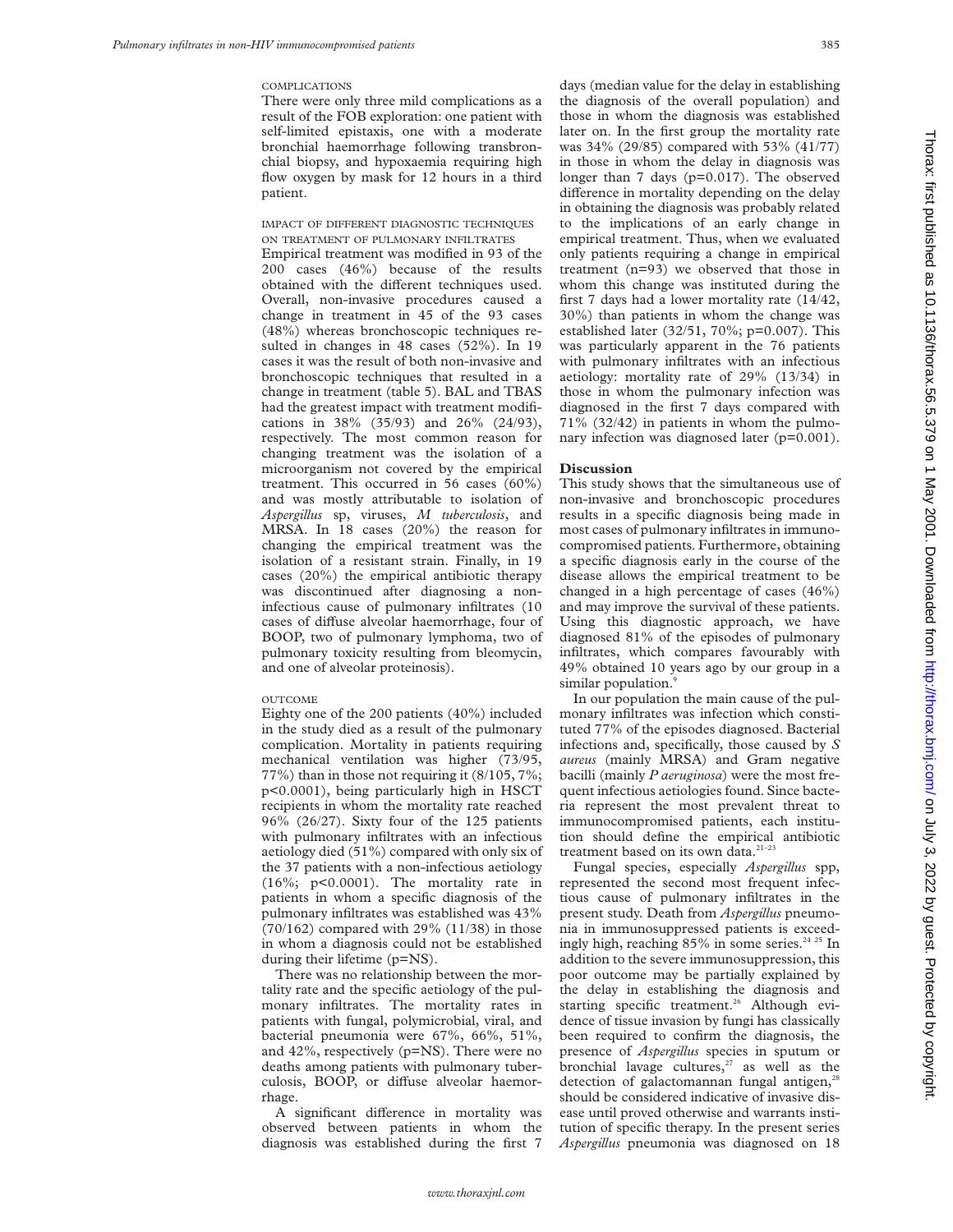#### **COMPLICATIONS**

There were only three mild complications as a result of the FOB exploration: one patient with self-limited epistaxis, one with a moderate bronchial haemorrhage following transbronchial biopsy, and hypoxaemia requiring high flow oxygen by mask for 12 hours in a third patient.

# IMPACT OF DIFFERENT DIAGNOSTIC TECHNIQUES ON TREATMENT OF PULMONARY INFILTRATES

Empirical treatment was modified in 93 of the 200 cases (46%) because of the results obtained with the different techniques used. Overall, non-invasive procedures caused a change in treatment in 45 of the 93 cases (48%) whereas bronchoscopic techniques resulted in changes in 48 cases (52%). In 19 cases it was the result of both non-invasive and bronchoscopic techniques that resulted in a change in treatment (table 5). BAL and TBAS had the greatest impact with treatment modifications in 38% (35/93) and 26% (24/93), respectively. The most common reason for changing treatment was the isolation of a microorganism not covered by the empirical treatment. This occurred in 56 cases (60%) and was mostly attributable to isolation of *Aspergillus* sp, viruses, *M tuberculosis*, and MRSA. In 18 cases (20%) the reason for changing the empirical treatment was the isolation of a resistant strain. Finally, in 19 cases (20%) the empirical antibiotic therapy was discontinued after diagnosing a noninfectious cause of pulmonary infiltrates (10 cases of diffuse alveolar haemorrhage, four of BOOP, two of pulmonary lymphoma, two of pulmonary toxicity resulting from bleomycin, and one of alveolar proteinosis).

#### **OUTCOME**

Eighty one of the 200 patients (40%) included in the study died as a result of the pulmonary complication. Mortality in patients requiring mechanical ventilation was higher (73/95, 77%) than in those not requiring it (8/105, 7%; p<0.0001), being particularly high in HSCT recipients in whom the mortality rate reached 96% (26/27). Sixty four of the 125 patients with pulmonary infiltrates with an infectious aetiology died (51%) compared with only six of the 37 patients with a non-infectious aetiology (16%; p<0.0001). The mortality rate in patients in whom a specific diagnosis of the pulmonary infiltrates was established was 43%  $(70/162)$  compared with 29%  $(11/38)$  in those in whom a diagnosis could not be established during their lifetime (p=NS).

There was no relationship between the mortality rate and the specific aetiology of the pulmonary infiltrates. The mortality rates in patients with fungal, polymicrobial, viral, and bacterial pneumonia were 67%, 66%, 51%, and 42%, respectively (p=NS). There were no deaths among patients with pulmonary tuberculosis, BOOP, or diffuse alveolar haemorrhage.

A significant difference in mortality was observed between patients in whom the diagnosis was established during the first 7 days (median value for the delay in establishing the diagnosis of the overall population) and those in whom the diagnosis was established later on. In the first group the mortality rate was 34% (29/85) compared with 53% (41/77) in those in whom the delay in diagnosis was longer than 7 days (p=0.017). The observed difference in mortality depending on the delay in obtaining the diagnosis was probably related to the implications of an early change in empirical treatment. Thus, when we evaluated only patients requiring a change in empirical treatment (n=93) we observed that those in whom this change was instituted during the first 7 days had a lower mortality rate (14/42, 30%) than patients in whom the change was established later (32/51, 70%; p=0.007). This was particularly apparent in the 76 patients with pulmonary infiltrates with an infectious aetiology: mortality rate of 29% (13/34) in those in whom the pulmonary infection was diagnosed in the first 7 days compared with 71% (32/42) in patients in whom the pulmonary infection was diagnosed later (p=0.001).

# **Discussion**

This study shows that the simultaneous use of non-invasive and bronchoscopic procedures results in a specific diagnosis being made in most cases of pulmonary infiltrates in immunocompromised patients. Furthermore, obtaining a specific diagnosis early in the course of the disease allows the empirical treatment to be changed in a high percentage of cases (46%) and may improve the survival of these patients. Using this diagnostic approach, we have diagnosed 81% of the episodes of pulmonary infiltrates, which compares favourably with 49% obtained 10 years ago by our group in a similar population.<sup>9</sup>

In our population the main cause of the pulmonary infiltrates was infection which constituted 77% of the episodes diagnosed. Bacterial infections and, specifically, those caused by *S aureus* (mainly MRSA) and Gram negative bacilli (mainly *P aeruginosa*) were the most frequent infectious aetiologies found. Since bacteria represent the most prevalent threat to immunocompromised patients, each institution should define the empirical antibiotic treatment based on its own data.<sup>21-23</sup>

Fungal species, especially *Aspergillus* spp, represented the second most frequent infectious cause of pulmonary infiltrates in the present study. Death from *Aspergillus* pneumonia in immunosuppressed patients is exceedingly high, reaching 85% in some series.<sup>24 25</sup> In addition to the severe immunosuppression, this poor outcome may be partially explained by the delay in establishing the diagnosis and starting specific treatment.<sup>26</sup> Although evidence of tissue invasion by fungi has classically been required to confirm the diagnosis, the presence of *Aspergillus* species in sputum or bronchial lavage cultures, $27$  as well as the detection of galactomannan fungal antigen,<sup>28</sup> should be considered indicative of invasive disease until proved otherwise and warrants institution of specific therapy. In the present series *Aspergillus* pneumonia was diagnosed on 18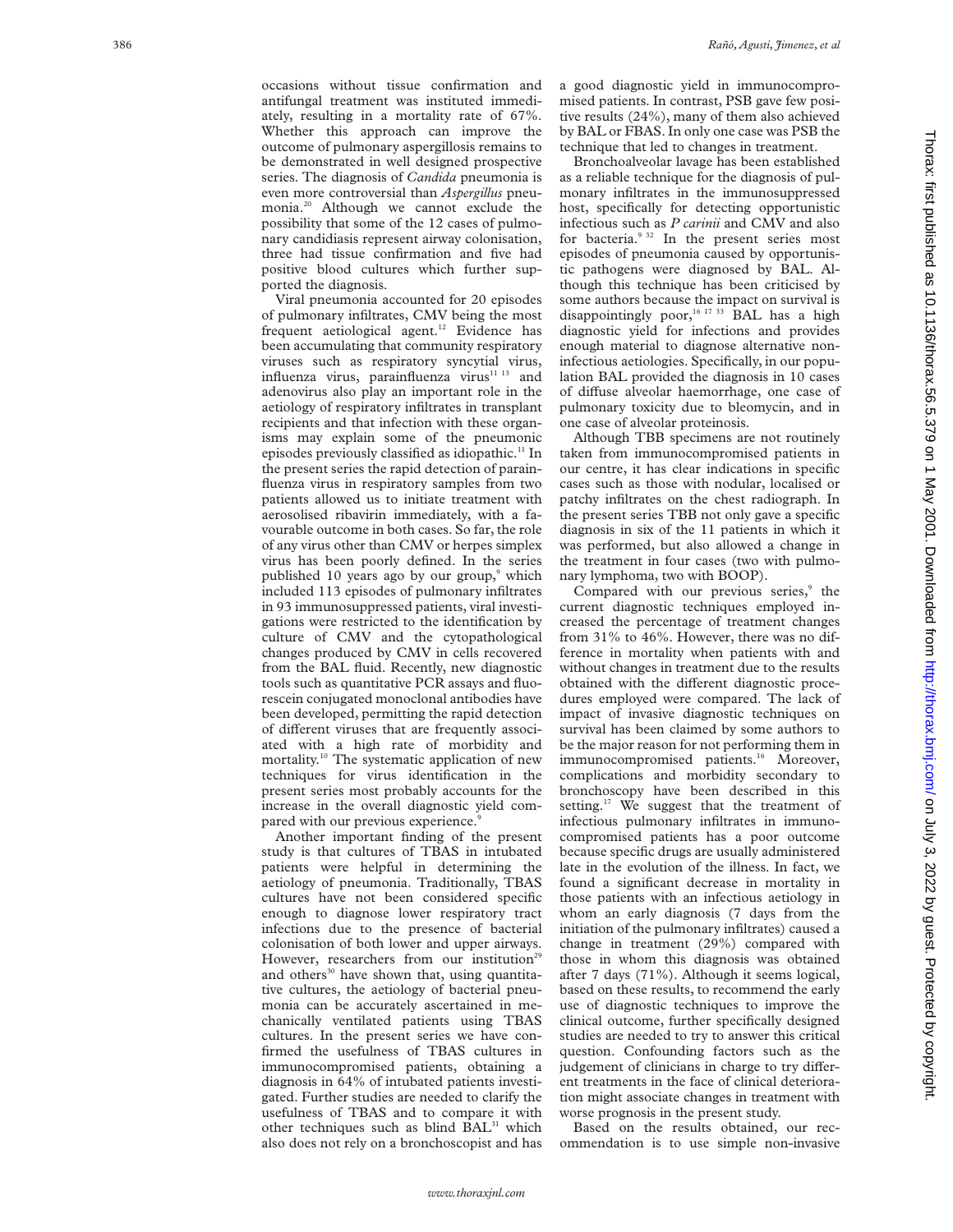occasions without tissue confirmation and antifungal treatment was instituted immediately, resulting in a mortality rate of 67%. Whether this approach can improve the outcome of pulmonary aspergillosis remains to be demonstrated in well designed prospective series. The diagnosis of *Candida* pneumonia is even more controversial than *Aspergillus* pneumonia.<sup>20</sup> Although we cannot exclude the possibility that some of the 12 cases of pulmonary candidiasis represent airway colonisation, three had tissue confirmation and five had positive blood cultures which further supported the diagnosis.

Viral pneumonia accounted for 20 episodes of pulmonary infiltrates, CMV being the most frequent aetiological agent.<sup>12</sup> Evidence has been accumulating that community respiratory viruses such as respiratory syncytial virus, influenza virus, parainfluenza virus<sup>11 13</sup> and adenovirus also play an important role in the aetiology of respiratory infiltrates in transplant recipients and that infection with these organisms may explain some of the pneumonic episodes previously classified as idiopathic.<sup>11</sup> In the present series the rapid detection of parainfluenza virus in respiratory samples from two patients allowed us to initiate treatment with aerosolised ribavirin immediately, with a favourable outcome in both cases. So far, the role of any virus other than CMV or herpes simplex virus has been poorly defined. In the series published 10 years ago by our group, <sup>9</sup> which included 113 episodes of pulmonary infiltrates in 93 immunosuppressed patients, viral investigations were restricted to the identification by culture of CMV and the cytopathological changes produced by CMV in cells recovered from the BAL fluid. Recently, new diagnostic tools such as quantitative PCR assays and fluorescein conjugated monoclonal antibodies have been developed, permitting the rapid detection of different viruses that are frequently associated with a high rate of morbidity and mortality.10 The systematic application of new techniques for virus identification in the present series most probably accounts for the increase in the overall diagnostic yield compared with our previous experience.<sup>9</sup>

Another important finding of the present study is that cultures of TBAS in intubated patients were helpful in determining the aetiology of pneumonia. Traditionally, TBAS cultures have not been considered specific enough to diagnose lower respiratory tract infections due to the presence of bacterial colonisation of both lower and upper airways. However, researchers from our institution<sup>29</sup> and others $30$  have shown that, using quantitative cultures, the aetiology of bacterial pneumonia can be accurately ascertained in mechanically ventilated patients using TBAS cultures. In the present series we have confirmed the usefulness of TBAS cultures in immunocompromised patients, obtaining a diagnosis in 64% of intubated patients investigated. Further studies are needed to clarify the usefulness of TBAS and to compare it with other techniques such as blind BAL<sup>31</sup> which also does not rely on a bronchoscopist and has

a good diagnostic yield in immunocompromised patients. In contrast, PSB gave few positive results (24%), many of them also achieved by BAL or FBAS. In only one case was PSB the technique that led to changes in treatment.

Bronchoalveolar lavage has been established as a reliable technique for the diagnosis of pulmonary infiltrates in the immunosuppressed host, specifically for detecting opportunistic infectious such as *P carinii* and CMV and also for bacteria.<sup>9 32</sup> In the present series most episodes of pneumonia caused by opportunistic pathogens were diagnosed by BAL. Although this technique has been criticised by some authors because the impact on survival is disappointingly poor,<sup>16 17 33</sup> BAL has a high diagnostic yield for infections and provides enough material to diagnose alternative noninfectious aetiologies. Specifically, in our population BAL provided the diagnosis in 10 cases of di Vuse alveolar haemorrhage, one case of pulmonary toxicity due to bleomycin, and in one case of alveolar proteinosis.

Although TBB specimens are not routinely taken from immunocompromised patients in our centre, it has clear indications in specific cases such as those with nodular, localised or patchy infiltrates on the chest radiograph. In the present series TBB not only gave a specific diagnosis in six of the 11 patients in which it was performed, but also allowed a change in the treatment in four cases (two with pulmonary lymphoma, two with BOOP).

Compared with our previous series,<sup>9</sup> the current diagnostic techniques employed increased the percentage of treatment changes from 31% to 46%. However, there was no difference in mortality when patients with and without changes in treatment due to the results obtained with the different diagnostic procedures employed were compared. The lack of impact of invasive diagnostic techniques on survival has been claimed by some authors to be the major reason for not performing them in immunocompromised patients.<sup>16</sup> Moreover, complications and morbidity secondary to bronchoscopy have been described in this setting.<sup>17</sup> We suggest that the treatment of infectious pulmonary infiltrates in immunocompromised patients has a poor outcome because specific drugs are usually administered late in the evolution of the illness. In fact, we found a significant decrease in mortality in those patients with an infectious aetiology in whom an early diagnosis (7 days from the initiation of the pulmonary infiltrates) caused a change in treatment (29%) compared with those in whom this diagnosis was obtained after 7 days (71%). Although it seems logical, based on these results, to recommend the early use of diagnostic techniques to improve the clinical outcome, further specifically designed studies are needed to try to answer this critical question. Confounding factors such as the judgement of clinicians in charge to try different treatments in the face of clinical deterioration might associate changes in treatment with worse prognosis in the present study.

Based on the results obtained, our recommendation is to use simple non-invasive